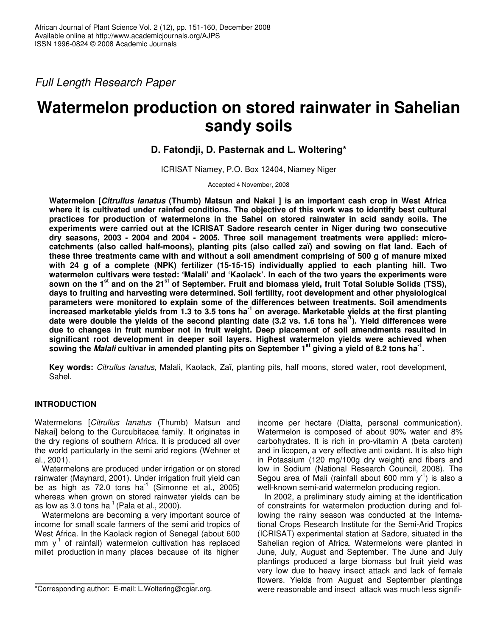*Full Length Research Paper*

# **Watermelon production on stored rainwater in Sahelian sandy soils**

## **D. Fatondji, D. Pasternak and L. Woltering\***

ICRISAT Niamey, P.O. Box 12404, Niamey Niger

Accepted 4 November, 2008

**Watermelon [***Citrullus lanatus* **(Thumb) Matsun and Nakai ] is an important cash crop in West Africa where it is cultivated under rainfed conditions. The objective of this work was to identify best cultural practices for production of watermelons in the Sahel on stored rainwater in acid sandy soils. The experiments were carried out at the ICRISAT Sadore research center in Niger during two consecutive dry seasons, 2003 - 2004 and 2004 - 2005. Three soil management treatments were applied: microcatchments (also called half-moons), planting pits (also called zaï) and sowing on flat land. Each of these three treatments came with and without a soil amendment comprising of 500 g of manure mixed with 24 g of a complete (NPK) fertilizer (15-15-15) individually applied to each planting hill. Two watermelon cultivars were tested: 'Malali' and 'Kaolack'. In each of the two years the experiments were** sown on the 1<sup>st</sup> and on the 21<sup>st</sup> of September. Fruit and biomass yield, fruit Total Soluble Solids (TSS), **days to fruiting and harvesting were determined. Soil fertility, root development and other physiological parameters were monitored to explain some of the differences between treatments. Soil amendments** increased marketable yields from 1.3 to 3.5 tons ha<sup>-1</sup> on average. Marketable yields at the first planting date were double the yields of the second planting date (3.2 vs. 1.6 tons ha<sup>-1</sup>). Yield differences were **due to changes in fruit number not in fruit weight. Deep placement of soil amendments resulted in significant root development in deeper soil layers. Highest watermelon yields were achieved when** sowing the *Malali* cultivar in amended planting pits on September 1<sup>st</sup> giving a yield of 8.2 tons ha<sup>-1</sup>.

**Key words:** *Citrullus lanatus*, Malali, Kaolack, Zaï, planting pits, half moons, stored water, root development, Sahel.

## **INTRODUCTION**

Watermelons [*Citrullus lanatus* (Thumb) Matsun and Nakai] belong to the Curcubitacea family. It originates in the dry regions of southern Africa. It is produced all over the world particularly in the semi arid regions (Wehner et al., 2001).

Watermelons are produced under irrigation or on stored rainwater (Maynard, 2001). Under irrigation fruit yield can be as high as  $72.0$  tons ha<sup>1</sup> (Simonne et al., 2005) whereas when grown on stored rainwater yields can be as low as 3.0 tons ha $^{-1}$  (Pala et al., 2000).

Watermelons are becoming a very important source of income for small scale farmers of the semi arid tropics of West Africa. In the Kaolack region of Senegal (about 600 mm y<sup>-1</sup> of rainfall) watermelon cultivation has replaced millet production in many places because of its higher

income per hectare (Diatta, personal communication). Watermelon is composed of about 90% water and 8% carbohydrates. It is rich in pro-vitamin A (beta caroten) and in licopen, a very effective anti oxidant. It is also high in Potassium (120 mg/100g dry weight) and fibers and low in Sodium (National Research Council, 2008). The Segou area of Mali (rainfall about 600 mm  $y^{-1}$ ) is also a well-known semi-arid watermelon producing region.

In 2002, a preliminary study aiming at the identification of constraints for watermelon production during and following the rainy season was conducted at the International Crops Research Institute for the Semi-Arid Tropics (ICRISAT) experimental station at Sadore, situated in the Sahelian region of Africa. Watermelons were planted in June, July, August and September. The June and July plantings produced a large biomass but fruit yield was very low due to heavy insect attack and lack of female flowers. Yields from August and September plantings were reasonable and insect attack was much less signifi-

<sup>\*</sup>Corresponding author: E-mail: L.Woltering@cgiar.org.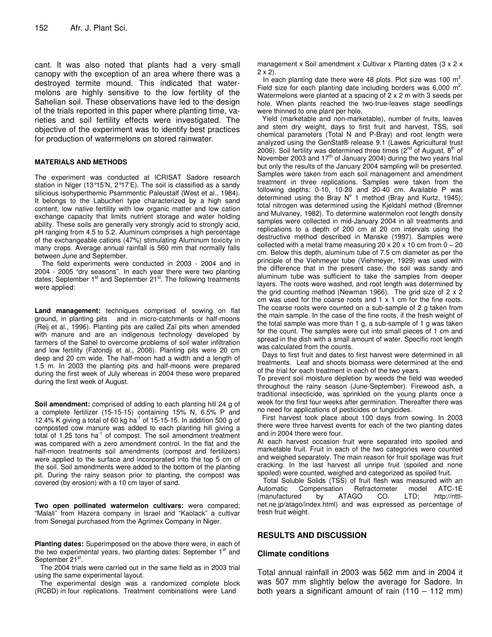cant. It was also noted that plants had a very small canopy with the exception of an area where there was a destroyed termite mound. This indicated that watermelons are highly sensitive to the low fertility of the Sahelian soil. These observations have led to the design of the trials reported in this paper where planting time, varieties and soil fertility effects were investigated. The objective of the experiment was to identify best practices for production of watermelons on stored rainwater.

#### **MATERIALS AND METHODS**

The experiment was conducted at ICRISAT Sadore research station in Niger (13°15'N, 2°17'E). The soil is classified as a sandy silicious isohyperthemic Psammentic Paleustalf (West et al., 1984). It belongs to the Labucheri type characterized by a high sand content, low native fertility with low organic matter and low cation exchange capacity that limits nutrient storage and water holding ability. These soils are generally very strongly acid to strongly acid, pH ranging from 4.5 to 5.2. Aluminum comprises a high percentage of the exchangeable cations (47%) stimulating Aluminum toxicity in many crops. Average annual rainfall is 560 mm that normally falls between June and September.

The field experiments were conducted in 2003 - 2004 and in 2004 - 2005 "dry seasons". In each year there were two planting dates; September 1<sup>st</sup> and September 21<sup>st</sup>. The following treatments were applied:

**Land management:** techniques comprised of sowing on flat ground, in planting pits and in micro-catchments or half-moons (Reij et al., 1996). Planting pits are called Zaï pits when amended with manure and are an indigenous technology developed by farmers of the Sahel to overcome problems of soil water infiltration and low fertility (Fatondji et al., 2006). Planting pits were 20 cm deep and 20 cm wide. The half-moon had a width and a length of 1.5 m. In 2003 the planting pits and half-moons were prepared during the first week of July whereas in 2004 these were prepared during the first week of August.

**Soil amendment:** comprised of adding to each planting hill 24 g of a complete fertilizer (15-15-15) containing 15% N, 6.5% P and 12.4% K giving a total of 60 kg ha<sup>-1</sup> of 15-15-15. In addition 500 g of composted cow manure was added to each planting hill giving a total of 1.25 tons ha<sup>-1</sup> of compost. The soil amendment treatment was compared with a zero amendment control. In the flat and the half-moon treatments soil amendments (compost and fertilizers) were applied to the surface and incorporated into the top 5 cm of the soil. Soil amendments were added to the bottom of the planting pit. During the rainy season prior to planting, the compost was covered (by erosion) with a 10 cm layer of sand.

**Two open pollinated watermelon cultivars:** were compared; "Malali" from Hazera company in Israel and "Kaolack" a cultivar from Senegal purchased from the Agrimex Company in Niger.

**Planting dates:** Superimposed on the above there were, in each of the two experimental years, two planting dates: September 1<sup>st</sup> and September 21st.

The 2004 trials were carried out in the same field as in 2003 trial using the same experimental layout.

The experimental design was a randomized complete block (RCBD) in four replications. Treatment combinations were Land

management x Soil amendment x Cultivar x Planting dates (3 x 2 x 2 x 2).

In each planting date there were 48 plots. Plot size was 100  $m^2$ . Field size for each planting date including borders was 6,000  $m^2$ . Watermelons were planted at a spacing of 2 x 2 m with 3 seeds per hole. When plants reached the two-true-leaves stage seedlings were thinned to one plant per hole.

Yield (marketable and non-marketable), number of fruits, leaves and stem dry weight, days to first fruit and harvest, TSS, soil chemical parameters (Total N and P-Bray) and root length were analyzed using the GenStat® release 9.1 (Lawes Agricultural trust 2006). Soil fertility was determined three times (2<sup>nd</sup> of August, 8<sup>th</sup> of November 2003 and 17<sup>th</sup> of January 2004) during the two years trial but only the results of the January 2004 sampling will be presented. Samples were taken from each soil management and amendment treatment in three replications. Samples were taken from the following depths: 0-10, 10-20 and 20-40 cm. Available P was determined using the Bray  $N^{\circ}$  1 method (Bray and Kurtz, 1945); total nitrogen was determined using the Kjeldahl method (Bremner and Mulvaney, 1982). To determine watermelon root length density samples were collected in mid-January 2004 in all treatments and replications to a depth of 200 cm at 20 cm intervals using the destructive method described in Manske (1997). Samples were collected with a metal frame measuring 20  $\times$  20  $\times$  10 cm from 0 – 20 cm. Below this depth, aluminum tube of 7.5 cm diameter as per the principle of the Viehmeyer tube (Viehmeyer, 1929) was used with the difference that in the present case, the soil was sandy and aluminum tube was sufficient to take the samples from deeper layers. The roots were washed, and root length was determined by the grid counting method (Newman 1966). The grid size of 2 x 2 cm was used for the coarse roots and 1 x 1 cm for the fine roots. The coarse roots were counted on a sub-sample of 2 g taken from the main sample. In the case of the fine roots, if the fresh weight of the total sample was more than 1 g, a sub-sample of 1 g was taken for the count. The samples were cut into small pieces of 1 cm and spread in the dish with a small amount of water. Specific root length was calculated from the counts.

Days to first fruit and dates to first harvest were determined in all treatments. Leaf and shoots biomass were determined at the end of the trial for each treatment in each of the two years.

To prevent soil moisture depletion by weeds the field was weeded throughout the rainy season (June-September). Firewood ash, a traditional insecticide, was sprinkled on the young plants once a week for the first four weeks after germination. Thereafter there was no need for applications of pesticides or fungicides.

First harvest took place about 100 days from sowing. In 2003 there were three harvest events for each of the two planting dates and in 2004 there were four.

At each harvest occasion fruit were separated into spoiled and marketable fruit. Fruit in each of the two categories were counted and weighed separately. The main reason for fruit spoilage was fruit cracking. In the last harvest all unripe fruit (spoiled and none spoiled) were counted, weighed and categorized as spoiled fruit.

Total Soluble Solids (TSS) of fruit flesh was measured with an Automatic Compensation Refractometer model ATC-1E (manufactured by ATAGO CO. LTD; http://nttlnet.ne.jp/atago/index.html) and was expressed as percentage of fresh fruit weight.

## **RESULTS AND DISCUSSION**

#### **Climate conditions**

Total annual rainfall in 2003 was 562 mm and in 2004 it was 507 mm slightly below the average for Sadore. In both years a significant amount of rain (110 – 112 mm)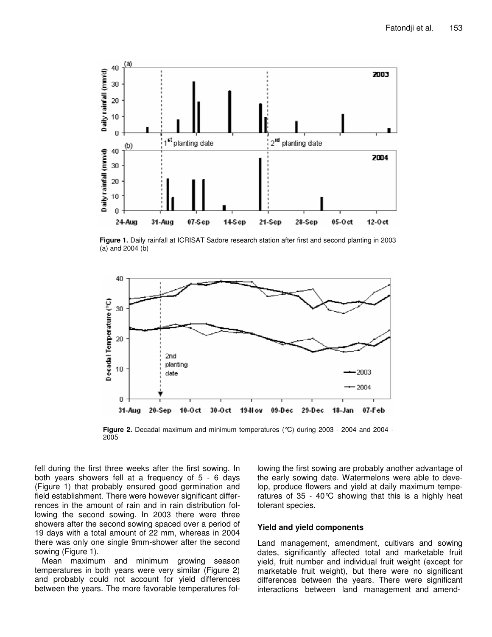

**Figure 1.** Daily rainfall at ICRISAT Sadore research station after first and second planting in 2003 (a) and 2004 (b)



**Figure 2.** Decadal maximum and minimum temperatures (°C) during 2003 - 2004 and 2004 - 2005

fell during the first three weeks after the first sowing. In both years showers fell at a frequency of 5 - 6 days (Figure 1) that probably ensured good germination and field establishment. There were however significant differrences in the amount of rain and in rain distribution following the second sowing. In 2003 there were three showers after the second sowing spaced over a period of 19 days with a total amount of 22 mm, whereas in 2004 there was only one single 9mm-shower after the second sowing (Figure 1).

Mean maximum and minimum growing season temperatures in both years were very similar (Figure 2) and probably could not account for yield differences between the years. The more favorable temperatures following the first sowing are probably another advantage of the early sowing date. Watermelons were able to develop, produce flowers and yield at daily maximum temperatures of 35 - 40 $\degree$ C showing that this is a highly heat tolerant species.

#### **Yield and yield components**

Land management, amendment, cultivars and sowing dates, significantly affected total and marketable fruit yield, fruit number and individual fruit weight (except for marketable fruit weight), but there were no significant differences between the years. There were significant interactions between land management and amend-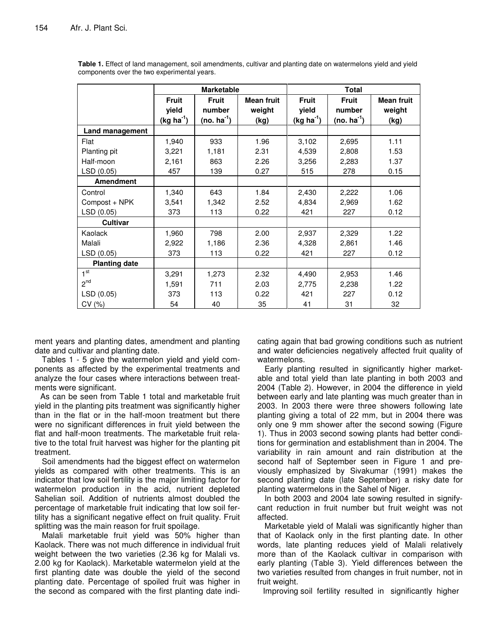|                      |                                      | <b>Marketable</b>                                 |                                     |                                      | Total                                |                                     |  |  |  |
|----------------------|--------------------------------------|---------------------------------------------------|-------------------------------------|--------------------------------------|--------------------------------------|-------------------------------------|--|--|--|
|                      | <b>Fruit</b><br>yield<br>$(kg ha-1)$ | <b>Fruit</b><br>number<br>(no. ha <sup>-1</sup> ) | <b>Mean fruit</b><br>weight<br>(kg) | <b>Fruit</b><br>yield<br>$(kg ha-1)$ | Fruit<br>number<br>(no. ha $^{-1}$ ) | <b>Mean fruit</b><br>weight<br>(kg) |  |  |  |
| Land management      |                                      |                                                   |                                     |                                      |                                      |                                     |  |  |  |
| Flat                 | 1,940                                | 933                                               | 1.96                                | 3,102                                | 2,695                                | 1.11                                |  |  |  |
| Planting pit         | 3,221                                | 1,181                                             | 2.31                                | 4,539                                | 2,808                                | 1.53                                |  |  |  |
| Half-moon            | 2,161                                | 863                                               | 2.26                                | 3,256                                | 2,283                                | 1.37                                |  |  |  |
| LSD (0.05)           | 457                                  | 139                                               | 0.27                                | 515                                  | 278                                  | 0.15                                |  |  |  |
| <b>Amendment</b>     |                                      |                                                   |                                     |                                      |                                      |                                     |  |  |  |
| Control              | 1,340                                | 643                                               | 1.84                                | 2,430                                | 2,222                                | 1.06                                |  |  |  |
| Compost + NPK        | 3,541                                | 1,342                                             | 2.52                                | 4,834                                | 2,969                                | 1.62                                |  |  |  |
| LSD (0.05)           | 373                                  | 113                                               | 0.22                                | 421                                  | 227                                  | 0.12                                |  |  |  |
| <b>Cultivar</b>      |                                      |                                                   |                                     |                                      |                                      |                                     |  |  |  |
| Kaolack              | 1,960                                | 798                                               | 2.00                                | 2,937                                | 2,329                                | 1.22                                |  |  |  |
| Malali               | 2,922                                | 1,186                                             | 2.36                                | 4,328                                | 2,861                                | 1.46                                |  |  |  |
| LSD (0.05)           | 373                                  | 113                                               | 0.22                                | 421                                  | 227                                  | 0.12                                |  |  |  |
| <b>Planting date</b> |                                      |                                                   |                                     |                                      |                                      |                                     |  |  |  |
| 1 <sup>st</sup>      | 3,291                                | 1,273                                             | 2.32                                | 4,490                                | 2,953                                | 1.46                                |  |  |  |
| $2^{nd}$             | 1,591                                | 711                                               | 2.03                                | 2,775                                | 2,238                                | 1.22                                |  |  |  |
| LSD (0.05)           | 373                                  | 113                                               | 0.22                                | 421                                  | 227                                  | 0.12                                |  |  |  |
| CV(%)                | 54                                   | 40                                                | 35                                  | 41                                   | 31                                   | 32                                  |  |  |  |

**Table 1.** Effect of land management, soil amendments, cultivar and planting date on watermelons yield and yield components over the two experimental years.

ment years and planting dates, amendment and planting date and cultivar and planting date.

Tables 1 - 5 give the watermelon yield and yield components as affected by the experimental treatments and analyze the four cases where interactions between treatments were significant.

As can be seen from Table 1 total and marketable fruit yield in the planting pits treatment was significantly higher than in the flat or in the half-moon treatment but there were no significant differences in fruit yield between the flat and half-moon treatments. The marketable fruit relative to the total fruit harvest was higher for the planting pit treatment.

Soil amendments had the biggest effect on watermelon yields as compared with other treatments. This is an indicator that low soil fertility is the major limiting factor for watermelon production in the acid, nutrient depleted Sahelian soil. Addition of nutrients almost doubled the percentage of marketable fruit indicating that low soil fertility has a significant negative effect on fruit quality. Fruit splitting was the main reason for fruit spoilage.

Malali marketable fruit yield was 50% higher than Kaolack. There was not much difference in individual fruit weight between the two varieties (2.36 kg for Malali vs. 2.00 kg for Kaolack). Marketable watermelon yield at the first planting date was double the yield of the second planting date. Percentage of spoiled fruit was higher in the second as compared with the first planting date indicating again that bad growing conditions such as nutrient and water deficiencies negatively affected fruit quality of watermelons.

Early planting resulted in significantly higher marketable and total yield than late planting in both 2003 and 2004 (Table 2). However, in 2004 the difference in yield between early and late planting was much greater than in 2003. In 2003 there were three showers following late planting giving a total of 22 mm, but in 2004 there was only one 9 mm shower after the second sowing (Figure 1). Thus in 2003 second sowing plants had better conditions for germination and establishment than in 2004. The variability in rain amount and rain distribution at the second half of September seen in Figure 1 and previously emphasized by Sivakumar (1991) makes the second planting date (late September) a risky date for planting watermelons in the Sahel of Niger.

In both 2003 and 2004 late sowing resulted in signifycant reduction in fruit number but fruit weight was not affected.

Marketable yield of Malali was significantly higher than that of Kaolack only in the first planting date. In other words, late planting reduces yield of Malali relatively more than of the Kaolack cultivar in comparison with early planting (Table 3). Yield differences between the two varieties resulted from changes in fruit number, not in fruit weight.

Improving soil fertility resulted in significantly higher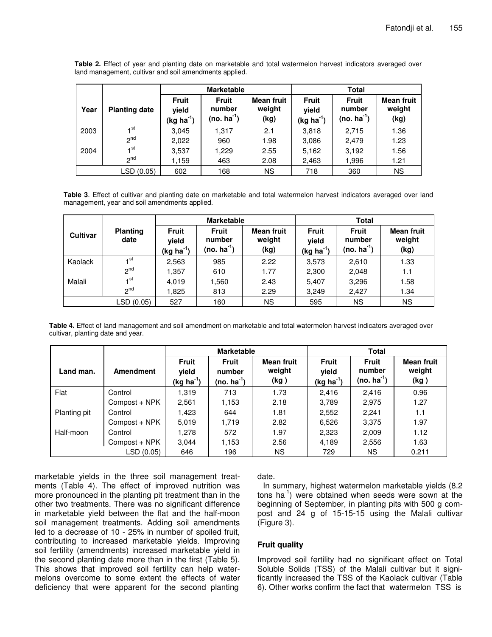|      |                      |                                      | <b>Marketable</b>                         |                                     | Total                                     |                                           |                                     |  |  |
|------|----------------------|--------------------------------------|-------------------------------------------|-------------------------------------|-------------------------------------------|-------------------------------------------|-------------------------------------|--|--|
| Year | <b>Planting date</b> | <b>Fruit</b><br>yield<br>$(kg ha-1)$ | <b>Fruit</b><br>number<br>$(no. ha^{-1})$ | <b>Mean fruit</b><br>weight<br>(kg) | <b>Fruit</b><br>yield<br>(kg ha $^{-1}$ ) | <b>Fruit</b><br>number<br>$(no. ha^{-1})$ | <b>Mean fruit</b><br>weight<br>(kg) |  |  |
| 2003 | 4 <sup>st</sup>      | 3,045                                | 1,317                                     | 2.1                                 | 3,818                                     | 2,715                                     | 1.36                                |  |  |
|      | $2^{nd}$             | 2,022                                | 960                                       | 1.98                                | 3,086                                     | 2,479                                     | 1.23                                |  |  |
| 2004 | 1 <sup>st</sup>      | 3,537                                | 1,229                                     | 2.55                                | 5,162                                     | 3,192                                     | 1.56                                |  |  |
|      | $2^{nd}$             | 1,159                                | 463                                       | 2.08                                | 2,463                                     | 1,996                                     | 1.21                                |  |  |
|      | LSD(0.05)            | 602                                  | 168                                       | ΝS                                  | 718                                       | 360                                       | <b>NS</b>                           |  |  |

**Table 2.** Effect of year and planting date on marketable and total watermelon harvest indicators averaged over land management, cultivar and soil amendments applied.

**Table 3**. Effect of cultivar and planting date on marketable and total watermelon harvest indicators averaged over land management, year and soil amendments applied.

|                 |                         |                                                 | <b>Marketable</b>                                 |                              | <b>Total</b>                         |                                                   |                                     |  |
|-----------------|-------------------------|-------------------------------------------------|---------------------------------------------------|------------------------------|--------------------------------------|---------------------------------------------------|-------------------------------------|--|
| <b>Cultivar</b> | <b>Planting</b><br>date | <b>Fruit</b><br>vield<br>(kg ha <sup>-1</sup> ) | <b>Fruit</b><br>number<br>(no. ha <sup>-1</sup> ) | Mean fruit<br>weight<br>(kg) | <b>Fruit</b><br>vield<br>$(kg ha-1)$ | <b>Fruit</b><br>number<br>(no. ha <sup>-1</sup> ) | <b>Mean fruit</b><br>weight<br>(kg) |  |
| Kaolack         | ⊣st                     | 2,563                                           | 985                                               | 2.22                         | 3,573                                | 2,610                                             | 1.33                                |  |
|                 | $2^{nd}$                | 1,357                                           | 610                                               | 1.77                         | 2,300                                | 2,048                                             | 1.1                                 |  |
| Malali          | ⊣ st                    | 4,019                                           | 1,560                                             | 2.43                         | 5,407                                | 3,296                                             | 1.58                                |  |
|                 | n <sub>q</sub>          | 1,825                                           | 813                                               | 2.29                         | 3,249                                | 2,427                                             | 1.34                                |  |
|                 | LSD (0.05)              | 527                                             | 160                                               | ΝS                           | 595                                  | ΝS                                                | <b>NS</b>                           |  |

**Table 4.** Effect of land management and soil amendment on marketable and total watermelon harvest indicators averaged over cultivar, planting date and year.

|              |               |                                           | <b>Marketable</b>                      |                                     | Total                                |                                        |                                     |  |  |
|--------------|---------------|-------------------------------------------|----------------------------------------|-------------------------------------|--------------------------------------|----------------------------------------|-------------------------------------|--|--|
| Land man.    | Amendment     | <b>Fruit</b><br>yield<br>(kg ha $^{-1}$ ) | <b>Fruit</b><br>number<br>$(no. ha-1)$ | <b>Mean fruit</b><br>weight<br>(kg) | <b>Fruit</b><br>yield<br>$(kg ha-1)$ | <b>Fruit</b><br>number<br>$(no. ha-1)$ | <b>Mean fruit</b><br>weight<br>(kg) |  |  |
| Flat         | Control       | I.319                                     | 713                                    | 1.73                                | 2,416                                | 2.416                                  | 0.96                                |  |  |
|              | Compost + NPK | 2,561                                     | 1,153                                  | 2.18                                | 3,789                                | 2,975                                  | 1.27                                |  |  |
| Planting pit | Control       | l.423                                     | 644                                    | 1.81                                | 2,552                                | 2.241                                  | 1.1                                 |  |  |
|              | Compost + NPK | 5,019                                     | 1,719                                  | 2.82                                | 6,526                                | 3,375                                  | 1.97                                |  |  |
| Half-moon    | Control       | 1,278                                     | 572                                    | 1.97                                | 2,323                                | 2,009                                  | 1.12                                |  |  |
|              | Compost + NPK | 3.044                                     | 1,153                                  | 2.56                                | 4,189                                | 2,556                                  | 1.63                                |  |  |
|              | LSD (0.05)    | 646                                       | 196                                    | ΝS                                  | 729                                  | <b>NS</b>                              | 0.211                               |  |  |

marketable yields in the three soil management treatments (Table 4). The effect of improved nutrition was more pronounced in the planting pit treatment than in the other two treatments. There was no significant difference in marketable yield between the flat and the half-moon soil management treatments. Adding soil amendments led to a decrease of 10 - 25% in number of spoiled fruit, contributing to increased marketable yields. Improving soil fertility (amendments) increased marketable yield in the second planting date more than in the first (Table 5). This shows that improved soil fertility can help watermelons overcome to some extent the effects of water deficiency that were apparent for the second planting

## date.

In summary, highest watermelon marketable yields (8.2 tons ha<sup>-1</sup>) were obtained when seeds were sown at the beginning of September, in planting pits with 500 g compost and 24 g of 15-15-15 using the Malali cultivar (Figure 3).

## **Fruit quality**

Improved soil fertility had no significant effect on Total Soluble Solids (TSS) of the Malali cultivar but it significantly increased the TSS of the Kaolack cultivar (Table 6). Other works confirm the fact that watermelon TSS is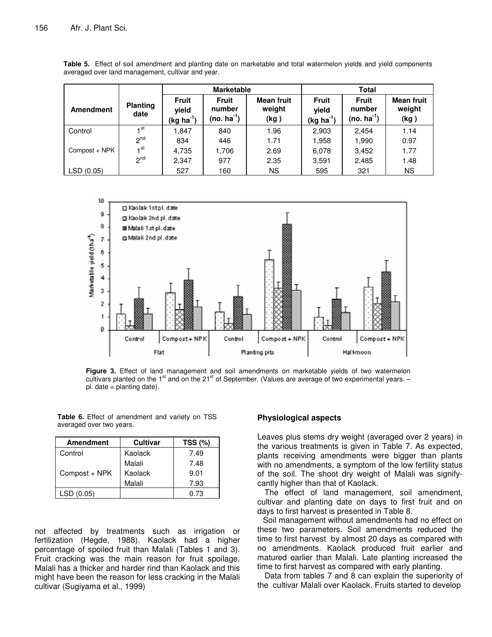|                  |                         |                                                 | <b>Marketable</b>                          |                                     | Total                                           |                                            |                                     |  |  |  |
|------------------|-------------------------|-------------------------------------------------|--------------------------------------------|-------------------------------------|-------------------------------------------------|--------------------------------------------|-------------------------------------|--|--|--|
| <b>Amendment</b> | <b>Planting</b><br>date | <b>Fruit</b><br>yield<br>(kg ha <sup>-1</sup> ) | <b>Fruit</b><br>number<br>(no. $ha^{-1}$ ) | <b>Mean fruit</b><br>weight<br>(kg) | <b>Fruit</b><br>vield<br>(kg ha <sup>-1</sup> ) | <b>Fruit</b><br>number<br>(no. $ha^{-1}$ ) | <b>Mean fruit</b><br>weight<br>(kg) |  |  |  |
| Control          | ⊣ st                    | 1.847                                           | 840                                        | 1.96                                | 2,903                                           | 2.454                                      | 1.14                                |  |  |  |
|                  | <sup>nd</sup>           | 834                                             | 446                                        | 1.71                                | 1,958                                           | 1,990                                      | 0.97                                |  |  |  |
| Compost + NPK    | $\mathbf{1}$ st         | 4,735                                           | 1.706                                      | 2.69                                | 6,078                                           | 3,452                                      | 1.77                                |  |  |  |
|                  | <sup>nd</sup>           | 2,347                                           | 977                                        | 2.35                                | 3,591                                           | 2,485                                      | 1.48                                |  |  |  |
| LSD(0.05)        |                         | 527                                             | 160                                        | ΝS                                  | 595                                             | 321                                        | ΝS                                  |  |  |  |

**Table 5.** Effect of soil amendment and planting date on marketable and total watermelon yields and yield components averaged over land management, cultivar and year.



**Figure 3.** Effect of land management and soil amendments on marketable yields of two watermelon cultivars planted on the 1<sup>st</sup> and on the 21<sup>st</sup> of September. (Values are average of two experimental years. – pl. date = planting date).

| <b>Amendment</b> | <b>Cultivar</b> | TSS (%) |
|------------------|-----------------|---------|
| Control          | Kaolack         | 7.49    |
|                  | Malali          | 7.48    |
| Compost + NPK    | Kaolack         | 9.01    |
|                  | Malali          | 7.93    |
| LSD (0.05)       |                 | 0.73    |

**Table 6.** Effect of amendment and variety on TSS averaged over two years.

not affected by treatments such as irrigation or fertilization (Hegde, 1988). Kaolack had a higher percentage of spoiled fruit than Malali (Tables 1 and 3). Fruit cracking was the main reason for fruit spoilage. Malali has a thicker and harder rind than Kaolack and this might have been the reason for less cracking in the Malali cultivar (Sugiyama et al., 1999)

#### **Physiological aspects**

Leaves plus stems dry weight (averaged over 2 years) in the various treatments is given in Table 7. As expected, plants receiving amendments were bigger than plants with no amendments, a symptom of the low fertility status of the soil. The shoot dry weight of Malali was signifycantly higher than that of Kaolack.

The effect of land management, soil amendment, cultivar and planting date on days to first fruit and on days to first harvest is presented in Table 8.

Soil management without amendments had no effect on these two parameters. Soil amendments reduced the time to first harvest by almost 20 days as compared with no amendments. Kaolack produced fruit earlier and matured earlier than Malali. Late planting increased the time to first harvest as compared with early planting.

Data from tables 7 and 8 can explain the superiority of the cultivar Malali over Kaolack. Fruits started to develop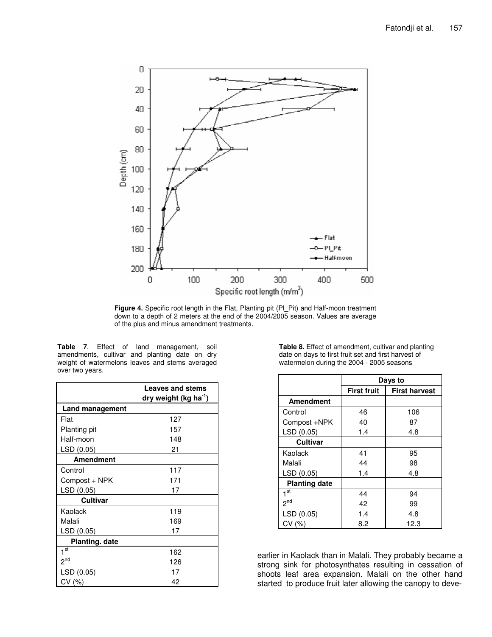

**Figure 4.** Specific root length in the Flat, Planting pit (Pl\_Pit) and Half-moon treatment down to a depth of 2 meters at the end of the 2004/2005 season. Values are average of the plus and minus amendment treatments.

| <b>Table 7.</b> Effect of land management, soil |  |  |  |  |  |  |
|-------------------------------------------------|--|--|--|--|--|--|
| amendments, cultivar and planting date on dry   |  |  |  |  |  |  |
| weight of watermelons leaves and stems averaged |  |  |  |  |  |  |
| over two years.                                 |  |  |  |  |  |  |

|                        | <b>Leaves and stems</b><br>dry weight (kg ha <sup>-1</sup> ) |
|------------------------|--------------------------------------------------------------|
| <b>Land management</b> |                                                              |
| Flat                   | 127                                                          |
| <b>Planting pit</b>    | 157                                                          |
| Half-moon              | 148                                                          |
| LSD (0.05)             | 21                                                           |
| <b>Amendment</b>       |                                                              |
| Control                | 117                                                          |
| Compost + NPK          | 171                                                          |
| LSD (0.05)             | 17                                                           |
| <b>Cultivar</b>        |                                                              |
| Kaolack                | 119                                                          |
| Malali                 | 169                                                          |
| LSD (0.05)             | 17                                                           |
| <b>Planting. date</b>  |                                                              |
| 1 <sup>st</sup>        | 162                                                          |
| $2^{nd}$               | 126                                                          |
| LSD (0.05)             | 17                                                           |
| CV (%)                 | 42                                                           |

**Table 8.** Effect of amendment, cultivar and planting date on days to first fruit set and first harvest of watermelon during the 2004 - 2005 seasons

|                      | Days to            |                      |  |  |  |  |
|----------------------|--------------------|----------------------|--|--|--|--|
|                      | <b>First fruit</b> | <b>First harvest</b> |  |  |  |  |
| <b>Amendment</b>     |                    |                      |  |  |  |  |
| Control              | 46                 | 106                  |  |  |  |  |
| Compost +NPK         | 40                 | 87                   |  |  |  |  |
| LSD (0.05)           | 1.4                | 4.8                  |  |  |  |  |
| <b>Cultivar</b>      |                    |                      |  |  |  |  |
| Kaolack              | 41                 | 95                   |  |  |  |  |
| Malali               | 44                 | 98                   |  |  |  |  |
| LSD (0.05)           | 1.4                | 4.8                  |  |  |  |  |
| <b>Planting date</b> |                    |                      |  |  |  |  |
| 1 <sup>st</sup>      | 44                 | 94                   |  |  |  |  |
| 2 <sup>nd</sup>      | 42                 | 99                   |  |  |  |  |
| LSD (0.05)           | 1.4                | 4.8                  |  |  |  |  |
| CV(%)                | 8.2                | 12.3                 |  |  |  |  |

earlier in Kaolack than in Malali. They probably became a strong sink for photosynthates resulting in cessation of shoots leaf area expansion. Malali on the other hand started to produce fruit later allowing the canopy to deve-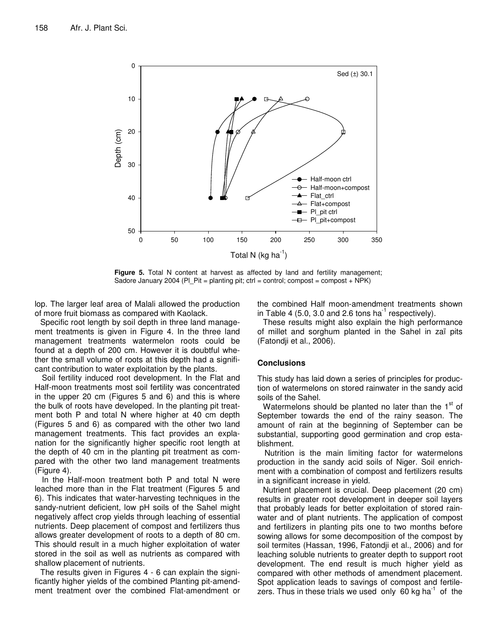

**Figure 5.** Total N content at harvest as affected by land and fertility management; Sadore January 2004 (PI\_Pit = planting pit; ctrl = control; compost = compost + NPK)

lop. The larger leaf area of Malali allowed the production of more fruit biomass as compared with Kaolack.

Specific root length by soil depth in three land management treatments is given in Figure 4. In the three land management treatments watermelon roots could be found at a depth of 200 cm. However it is doubtful whether the small volume of roots at this depth had a significant contribution to water exploitation by the plants.

Soil fertility induced root development. In the Flat and Half-moon treatments most soil fertility was concentrated in the upper 20 cm (Figures 5 and 6) and this is where the bulk of roots have developed. In the planting pit treatment both P and total N where higher at 40 cm depth (Figures 5 and 6) as compared with the other two land management treatments. This fact provides an explanation for the significantly higher specific root length at the depth of 40 cm in the planting pit treatment as compared with the other two land management treatments (Figure 4).

In the Half-moon treatment both P and total N were leached more than in the Flat treatment (Figures 5 and 6). This indicates that water-harvesting techniques in the sandy-nutrient deficient, low pH soils of the Sahel might negatively affect crop yields through leaching of essential nutrients. Deep placement of compost and fertilizers thus allows greater development of roots to a depth of 80 cm. This should result in a much higher exploitation of water stored in the soil as well as nutrients as compared with shallow placement of nutrients.

The results given in Figures 4 - 6 can explain the significantly higher yields of the combined Planting pit-amendment treatment over the combined Flat-amendment or the combined Half moon-amendment treatments shown in Table 4 (5.0, 3.0 and 2.6 tons ha $^{-1}$  respectively).

These results might also explain the high performance of millet and sorghum planted in the Sahel in zaï pits (Fatondji et al., 2006).

## **Conclusions**

This study has laid down a series of principles for production of watermelons on stored rainwater in the sandy acid soils of the Sahel.

Watermelons should be planted no later than the 1<sup>st</sup> of September towards the end of the rainy season. The amount of rain at the beginning of September can be substantial, supporting good germination and crop establishment.

Nutrition is the main limiting factor for watermelons production in the sandy acid soils of Niger. Soil enrichment with a combination of compost and fertilizers results in a significant increase in yield.

Nutrient placement is crucial. Deep placement (20 cm) results in greater root development in deeper soil layers that probably leads for better exploitation of stored rainwater and of plant nutrients. The application of compost and fertilizers in planting pits one to two months before sowing allows for some decomposition of the compost by soil termites (Hassan, 1996, Fatondji et al., 2006) and for leaching soluble nutrients to greater depth to support root development. The end result is much higher yield as compared with other methods of amendment placement. Spot application leads to savings of compost and fertilezers. Thus in these trials we used only 60 kg ha $^{-1}$  of the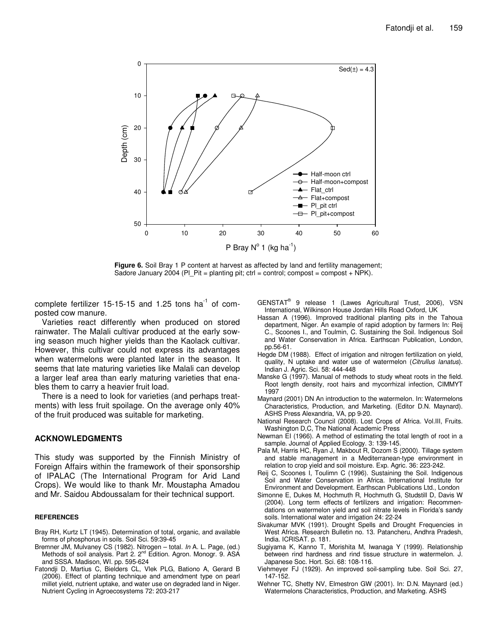

**Figure 6.** Soil Bray 1 P content at harvest as affected by land and fertility management; Sadore January 2004 (PI\_Pit = planting pit; ctrl = control; compost = compost + NPK).

complete fertilizer 15-15-15 and 1.25 tons ha $^{-1}$  of composted cow manure.

Varieties react differently when produced on stored rainwater. The Malali cultivar produced at the early sowing season much higher yields than the Kaolack cultivar. However, this cultivar could not express its advantages when watermelons were planted later in the season. It seems that late maturing varieties like Malali can develop a larger leaf area than early maturing varieties that enables them to carry a heavier fruit load.

There is a need to look for varieties (and perhaps treatments) with less fruit spoilage. On the average only 40% of the fruit produced was suitable for marketing.

#### **ACKNOWLEDGMENTS**

This study was supported by the Finnish Ministry of Foreign Affairs within the framework of their sponsorship of IPALAC (The International Program for Arid Land Crops). We would like to thank Mr. Moustapha Amadou and Mr. Saidou Abdoussalam for their technical support.

#### **REFERENCES**

- Bray RH, Kurtz LT (1945). Determination of total, organic, and available forms of phosphorus in soils. Soil Sci. 59:39-45
- Bremner JM, Mulvaney CS (1982). Nitrogen total. *In* A. L. Page, (ed.) Methods of soil analysis. Part 2. 2<sup>nd</sup> Edition. Agron. Monogr. 9. ASA and SSSA. Madison, WI. pp. 595-624
- Fatondji D, Martius C, Bielders CL, Vlek PLG, Bationo A, Gerard B (2006). Effect of planting technique and amendment type on pearl millet yield, nutrient uptake, and water use on degraded land in Niger. Nutrient Cycling in Agroecosystems 72: 203-217

GENSTAT ® 9 release 1 (Lawes Agricultural Trust, 2006), VSN International, Wilkinson House Jordan Hills Road Oxford, UK

- Hassan A (1996). Improved traditional planting pits in the Tahoua department, Niger. An example of rapid adoption by farmers In: Reij C., Scoones I., and Toulmin, C. Sustaining the Soil. Indigenous Soil and Water Conservation in Africa. Earthscan Publication, London, pp.56-61.
- Hegde DM (1988). Effect of irrigation and nitrogen fertilization on yield, quality, N uptake and water use of watermelon (*Citrullus lanatus*). Indian J. Agric. Sci. 58: 444-448
- Manske G (1997). Manual of methods to study wheat roots in the field. Root length density, root hairs and mycorrhizal infection, CIMMYT 1997
- Maynard (2001) DN An introduction to the watermelon. In: Watermelons Characteristics, Production, and Marketing. (Editor D.N. Maynard). ASHS Press Alexandria, VA, pp 9-20.
- National Research Council (2008). Lost Crops of Africa. Vol.III, Fruits. Washington D,C, The National Academic Press
- Newman EI (1966). A method of estimating the total length of root in a sample. Journal of Applied Ecology. 3: 139-145.
- Pala M, Harris HC, Ryan J, Makbout R, Dozom S (2000). Tillage system and stable management in a Mediterranean-type environment in relation to crop yield and soil moisture. Exp. Agric. 36: 223-242.
- Reij C, Scoones I, Toulimn C (1996). Sustaining the Soil. Indigenous Soil and Water Conservation in Africa. International Institute for Environment and Development. Earthscan Publications Ltd., London
- Simonne E, Dukes M, Hochmuth R, Hochmuth G, Studstill D, Davis W (2004). Long term effects of fertilizers and irrigation: Recommendations on watermelon yield and soil nitrate levels in Florida's sandy soils. International water and irrigation 24: 22-24
- Sivakumar MVK (1991). Drought Spells and Drought Frequencies in West Africa. Research Bulletin no. 13. Patancheru, Andhra Pradesh, India. ICRISAT. p. 181.
- Sugiyama K, Kanno T, Morishita M, Iwanaga Y (1999). Relationship between rind hardness and rind tissue structure in watermelon. J. Japanese Soc. Hort. Sci*.* 68: 108-116.
- Viehmeyer FJ (1929). An improved soil-sampling tube. Soil Sci. 27, 147-152.
- Wehner TC, Shetty NV, Elmestron GW (2001). In: D.N. Maynard (ed.) Watermelons Characteristics, Production, and Marketing. ASHS